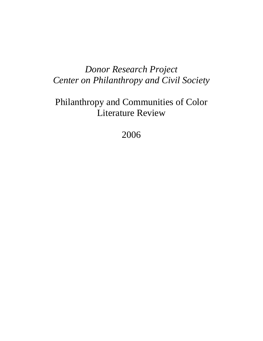# *Donor Research Project Center on Philanthropy and Civil Society*

# Philanthropy and Communities of Color Literature Review

2006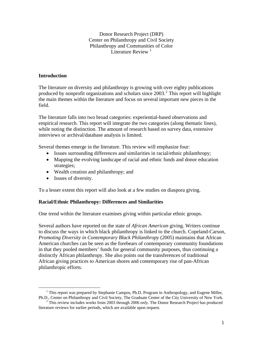Donor Research Project (DRP) Center on Philanthropy and Civil Society Philanthropy and Communities of Color Literature Review  $<sup>1</sup>$  $<sup>1</sup>$  $<sup>1</sup>$ </sup>

# **Introduction**

The literature on diversity and philanthropy is growing with over eighty publications produced by nonprofit organizations and scholars since [2](#page-1-1)003.<sup>2</sup> This report will highlight the main themes within the literature and focus on several important new pieces in the field.

The literature falls into two broad categories: experiential-based observations and empirical research. This report will integrate the two categories (along thematic lines), while noting the distinction. The amount of research based on survey data, extensive interviews or archival/database analysis is limited.

Several themes emerge in the literature. This review will emphasize four:

- Issues surrounding differences and similarities in racial/ethnic philanthropy;
- Mapping the evolving landscape of racial and ethnic funds and donor education strategies;
- Wealth creation and philanthropy; and
- Issues of diversity.

To a lesser extent this report will also look at a few studies on diaspora giving.

## **Racial/Ethnic Philanthropy: Differences and Similarities**

One trend within the literature examines giving within particular ethnic groups.

Several authors have reported on the state of *African American* giving. Writers continue to discuss the ways in which black philanthropy is linked to the church. Copeland-Carson, *Promoting Diversity in Contemporary Black Philanthropy* (2005) maintains that African American churches can be seen as the forebears of contemporary community foundations in that they pooled members' funds for general community purposes, thus continuing a distinctly African philanthropy. She also points out the transferences of traditional African giving practices to American shores and contemporary rise of pan-African philanthropic efforts.

<span id="page-1-0"></span> <sup>1</sup>  $<sup>1</sup>$  This report was prepared by Stephanie Campos, Ph.D. Program in Anthropology, and Eugene Miller,</sup> Ph.D., Center on Philanthropy and Civil Society, The Graduate Center of the City University of New York. 2

<span id="page-1-1"></span><sup>&</sup>lt;sup>2</sup> This review includes works from 2003 through 2006 *only*. The Donor Research Project has produced literature reviews for earlier periods, which are available upon request.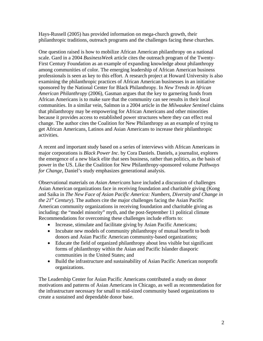Hays-Russell (2005) has provided information on mega-church growth, their philanthropic traditions, outreach programs and the challenges facing these churches.

One question raised is how to mobilize African American philanthropy on a national scale. Gard in a 2004 *BusinessWeek* article cites the outreach program of the Twenty-First Century Foundation as an example of expanding knowledge about philanthropy among communities of color. The emerging leadership of African American business professionals is seen as key to this effort. A research project at Howard University is also examining the philanthropic practices of African American businesses in an initiative sponsored by the National Center for Black Philanthropy. In *New Trends in African American Philanthropy* (2006), Gasman argues that the key to garnering funds from African Americans is to make sure that the community can see results in their local communities. In a similar vein, Salmon in a 2004 article in the *Milwaukee Sentinel* claims that philanthropy may be empowering for African Americans and other minorities because it provides access to established power structures where they can effect real change. The author cites the Coalition for New Philanthropy as an example of trying to get African Americans, Latinos and Asian Americans to increase their philanthropic activities.

A recent and important study based on a series of interviews with African Americans in major corporations is *Black Power Inc.* by Cora Daniels. Daniels, a journalist, explores the emergence of a new black elite that sees business, rather than politics, as the basis of power in the US. Like the Coalition for New Philanthropy-sponsored volume *Pathways for Change*, Daniel's study emphasizes generational analysis.

Observational materials on *Asian Americans* have included a discussion of challenges Asian American organizations face in receiving foundation and charitable giving (Kong and Saika in *The New Face of Asian Pacific America: Numbers, Diversity and Change in the*  $2I<sup>st</sup>$  *Century*). The authors cite the major challenges facing the Asian Pacific American community organizations in receiving foundation and charitable giving as including: the "model minority" myth, and the post-September 11 political climate Recommendations for overcoming these challenges include efforts to:

- Increase, stimulate and facilitate giving by Asian Pacific Americans;
- Incubate new models of community philanthropy of mutual benefit to both donors and Asian Pacific American community-based organizations;
- Educate the field of organized philanthropy about less visible but significant forms of philanthropy within the Asian and Pacific Islander diasporic communities in the United States; and
- Build the infrastructure and sustainability of Asian Pacific American nonprofit organizations.

The Leadership Center for Asian Pacific Americans contributed a study on donor motivations and patterns of Asian Americans in Chicago, as well as recommendation for the infrastructure necessary for small to mid-sized community based organizations to create a sustained and dependable donor base.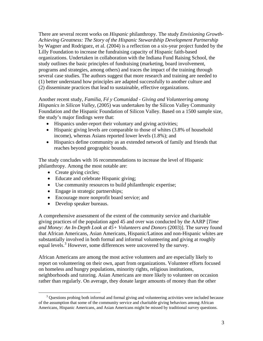There are several recent works on *Hispanic* philanthropy. The study *Envisioning Growth-Achieving Greatness: The Story of the Hispanic Stewardship Development Partnership* by Wagner and Rodriguez, et al. (2004) is a reflection on a six-year project funded by the Lilly Foundation to increase the fundraising capacity of Hispanic faith-based organizations. Undertaken in collaboration with the Indiana Fund Raising School, the study outlines the basic principles of fundraising (marketing, board involvement, programs and strategies, among others) and traces the impact of the training through several case studies. The authors suggest that more research and training are needed to (1) better understand how principles are adapted successfully to another culture and (2) disseminate practices that lead to sustainable, effective organizations.

Another recent study, *Familia, Fé y Comunidad - Giving and Volunteering among Hispanics in Silicon Valley,* (2005) was undertaken by the Silicon Valley Community Foundation and the Hispanic Foundation of Silicon Valley. Based on a 1500 sample size, the study's major findings were that:

- Hispanics under-report their voluntary and giving activities;
- Hispanic giving levels are comparable to those of whites (3.8% of household income), whereas Asians reported lower levels (1.8%); and
- Hispanics define community as an extended network of family and friends that reaches beyond geographic bounds.

The study concludes with 16 recommendations to increase the level of Hispanic philanthropy. Among the most notable are:

- Create giving circles;
- Educate and celebrate Hispanic giving;
- Use community resources to build philanthropic expertise;
- Engage in strategic partnerships;
- Encourage more nonprofit board service; and
- Develop speaker bureaus.

A comprehensive assessment of the extent of the community service and charitable giving practices of the population aged 45 and over was conducted by the AARP [*Time and Money: An In-Depth Look at 45+ Volunteers and Donors* (2003)]. The survey found that African Americans, Asian Americans, Hispanic/Latinos and non-Hispanic whites are substantially involved in both formal and informal volunteering and giving at roughly equal levels.<sup>[3](#page-3-0)</sup> However, some differences were uncovered by the survey.

African Americans are among the most active volunteers and are especially likely to report on volunteering on their own, apart from organizations. Volunteer efforts focused on homeless and hungry populations, minority rights, religious institutions, neighborhoods and tutoring. Asian Americans are more likely to volunteer on occasion rather than regularly. On average, they donate larger amounts of money than the other

<span id="page-3-0"></span> $\frac{1}{3}$ <sup>3</sup> Questions probing both informal and formal giving and volunteering activities were included because of the assumption that some of the community service and charitable giving behaviors among African Americans, Hispanic Americans, and Asian Americans might be missed by traditional survey questions.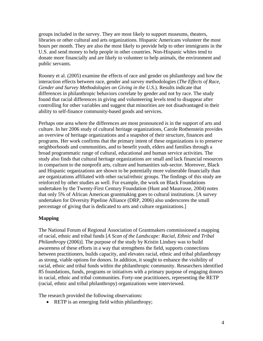groups included in the survey. They are most likely to support museums, theaters, libraries or other cultural and arts organizations. Hispanic Americans volunteer the most hours per month. They are also the most likely to provide help to other immigrants in the U.S. and send money to help people in other countries. Non-Hispanic whites tend to donate more financially and are likely to volunteer to help animals, the environment and public servants.

Rooney et al. (2005) examine the effects of race and gender on philanthropy and how the interaction effects between race, gender and survey methodologies (*The Effects of Race, Gender and Survey Methodologies on Giving in the U.S.*). Results indicate that differences in philanthropic behaviors correlate by gender and not by race. The study found that racial differences in giving and volunteering levels tend to disappear after controlling for other variables and suggest that minorities are not disadvantaged in their ability to self-finance community-based goods and services.

Perhaps one area where the differences are most pronounced is in the support of arts and culture. In her 2006 study of cultural heritage organizations, Carole Rothenstein provides an overview of heritage organizations and a snapshot of their structure, finances and programs. Her work confirms that the primary intent of these organizations is to preserve neighborhoods and communities, and to benefit youth, elders and families through a broad programmatic range of cultural, educational and human service activities. The study also finds that cultural heritage organizations are small and lack financial resources in comparison to the nonprofit arts, culture and humanities sub-sector. Moreover, Black and Hispanic organizations are shown to be potentially more vulnerable financially than are organizations affiliated with other racial/ethnic groups. The findings of this study are reinforced by other studies as well. For example, the work on Black Foundations undertaken by the Twenty-First Century Foundation (Hunt and Maurrasse, 2004) notes that only 5% of African American grantmaking goes to cultural institutions. [A survey undertaken for Diversity Pipeline Alliance (DRP, 2006) also underscores the small percentage of giving that is dedicated to arts and culture organizations.]

## **Mapping**

The National Forum of Regional Association of Grantmakers commissioned a mapping of racial, ethnic and tribal funds [*A Scan of the Landscape: Racial, Ethnic and Tribal Philanthropy* (2006)]. The purpose of the study by Kristin Lindsey was to build awareness of these efforts in a way that strengthens the field, supports connections between practitioners, builds capacity, and elevates racial, ethnic and tribal philanthropy as strong, viable options for donors. In addition, it sought to enhance the visibility of racial, ethnic and tribal funds within the philanthropic community. Researchers identified 85 foundations, funds, programs or initiatives with a primary purpose of engaging donors in racial, ethnic and tribal communities. Forty-one practitioners, representing the RETP (racial, ethnic and tribal philanthropy) organizations were interviewed.

The research provided the following observations:

• RETP is an emerging field within philanthropy;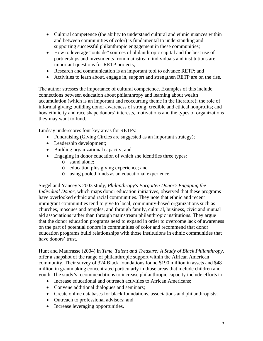- Cultural competence (the ability to understand cultural and ethnic nuances within and between communities of color) is fundamental to understanding and supporting successful philanthropic engagement in these communities;
- How to leverage "outside" sources of philanthropic capital and the best use of partnerships and investments from mainstream individuals and institutions are important questions for RETP projects;
- Research and communication is an important tool to advance RETP; and
- Activities to learn about, engage in, support and strengthen RETP are on the rise.

The author stresses the importance of cultural competence. Examples of this include connections between education about philanthropy and learning about wealth accumulation (which is an important and reoccurring theme in the literature); the role of informal giving; building donor awareness of strong, credible and ethical nonprofits; and how ethnicity and race shape donors' interests, motivations and the types of organizations they may want to fund.

Lindsay underscores four key areas for RETPs:

- Fundraising (Giving Circles are suggested as an important strategy);
- Leadership development;
- Building organizational capacity; and
- Engaging in donor education of which she identifies three types:
	- o stand alone;
	- o education plus giving experience; and
	- o using pooled funds as an educational experience.

Siegel and Yancey's 2003 study, *Philanthropy's Forgotten Donor? Engaging the Individual Donor*, which maps donor education initiatives, observed that these programs have overlooked ethnic and racial communities. They note that ethnic and recent immigrant communities tend to give to local, community-based organizations such as churches, mosques and temples, and through family, cultural, business, civic and mutual aid associations rather than through mainstream philanthropic institutions. They argue that the donor education programs need to expand in order to overcome lack of awareness on the part of potential donors in communities of color and recommend that donor education programs build relationships with those institutions in ethnic communities that have donors' trust.

Hunt and Maurrasse (2004) in *Time, Talent and Treasure: A Study of Black Philanthropy*, offer a snapshot of the range of philanthropic support within the African American community. Their survey of 324 Black foundations found \$190 million in assets and \$48 million in grantmaking concentrated particularly in those areas that include children and youth. The study's recommendations to increase philanthropic capacity include efforts to:

- Increase educational and outreach activities to African Americans:
- Convene additional dialogues and seminars;
- Create online databases for black foundations, associations and philanthropists;
- Outreach to professional advisors; and
- Increase leveraging opportunities.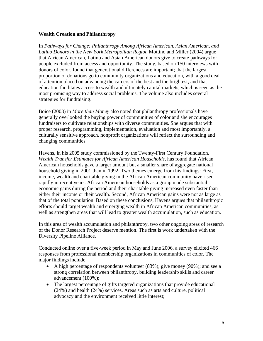# **Wealth Creation and Philanthropy**

In *Pathways for Change: Philanthropy Among African American, Asian American, and Latino Donors in the New York Metropolitan Region* Mottino and Miller (2004) argue that African American, Latino and Asian American donors give to create pathways for people excluded from access and opportunity. The study, based on 150 interviews with donors of color, found that generational differences are important; that the largest proportion of donations go to community organizations and education, with a good deal of attention placed on advancing the careers of the best and the brightest; and that education facilitates access to wealth and ultimately capital markets, which is seen as the most promising way to address social problems. The volume also includes several strategies for fundraising.

Boice (2003) in *More than Money* also noted that philanthropy professionals have generally overlooked the buying power of communities of color and she encourages fundraisers to cultivate relationships with diverse communities. She argues that with proper research, programming, implementation, evaluation and most importantly, a culturally sensitive approach, nonprofit organizations will reflect the surrounding and changing communities.

Havens, in his 2005 study commissioned by the Twenty-First Century Foundation, *Wealth Transfer Estimates for African American Households*, has found that African American households gave a larger amount but a smaller share of aggregate national household giving in 2001 than in 1992. Two themes emerge from his findings: First, income, wealth and charitable giving in the African American community have risen rapidly in recent years. African American households as a group made substantial economic gains during the period and their charitable giving increased even faster than either their income or their wealth. Second, African American gains were not as large as that of the total population. Based on these conclusions, Havens argues that philanthropic efforts should target wealth and emerging wealth in African American communities, as well as strengthen areas that will lead to greater wealth accumulation, such as education.

In this area of wealth accumulation and philanthropy, two other ongoing areas of research of the Donor Research Project deserve mention. The first is work undertaken with the Diversity Pipeline Alliance.

Conducted online over a five-week period in May and June 2006, a survey elicited 466 responses from professional membership organizations in communities of color. The major findings include:

- A high percentage of respondents volunteer (83%); give money (90%); and see a strong correlation between philanthropy, building leadership skills and career advancement (100%);
- The largest percentage of gifts targeted organizations that provide educational (24%) and health (24%) services. Areas such as arts and culture, political advocacy and the environment received little interest;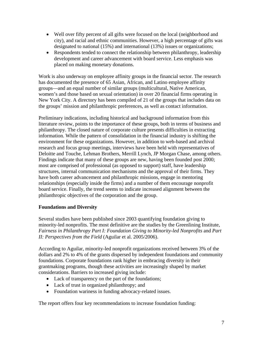- Well over fifty percent of all gifts were focused on the local (neighborhood and city), and racial and ethnic communities. However, a high percentage of gifts was designated to national (15%) and international (13%) issues or organizations;
- Respondents tended to connect the relationship between philanthropy, leadership development and career advancement with board service. Less emphasis was placed on making monetary donations.

Work is also underway on employee affinity groups in the financial sector. The research has documented the presence of 65 Asian, African, and Latino employee affinity groups—and an equal number of similar groups (multicultural, Native American, women's and those based on sexual orientation) in over 20 financial firms operating in New York City. A directory has been compiled of 21 of the groups that includes data on the groups' mission and philanthropic preferences, as well as contact information.

Preliminary indications, including historical and background information from this literature review, points to the importance of these groups, both in terms of business and philanthropy. The closed nature of corporate culture presents difficulties in extracting information. While the pattern of consolidation in the financial industry is shifting the environment for these organizations. However, in addition to web-based and archival research and focus group meetings, interviews have been held with representatives of Deloitte and Touche, Lehman Brothers, Merrill Lynch, JP Morgan Chase, among others. Findings indicate that many of these groups are new, having been founded post 2000; most are comprised of professional (as opposed to support) staff, have leadership structures, internal communication mechanisms and the approval of their firms. They have both career advancement and philanthropic missions, engage in mentoring relationships (especially inside the firms) and a number of them encourage nonprofit board service. Finally, the trend seems to indicate increased alignment between the philanthropic objectives of the corporation and the group.

# **Foundations and Diversity**

Several studies have been published since 2003 quantifying foundation giving to minority-led nonprofits. The most definitive are the studies by the Greenlining Institute, *Fairness in Philanthropy Part I: Foundation Giving to Minority-led Nonprofits* and *Part II: Perspectives from the Field* (Aguilar et al. 2005/2006).

According to Aguilar, minority-led nonprofit organizations received between 3% of the dollars and 2% to 4% of the grants dispersed by independent foundations and community foundations. Corporate foundations rank higher in embracing diversity in their grantmaking programs, though these activities are increasingly shaped by market considerations. Barriers to increased giving include:

- Lack of transparency on the part of the foundations;
- Lack of trust in organized philanthropy; and
- Foundation wariness in funding advocacy-related issues.

The report offers four key recommendations to increase foundation funding: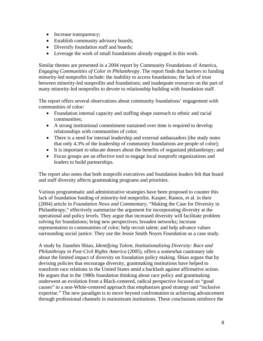- Increase transparency;
- Establish community advisory boards;
- Diversify foundation staff and boards;
- Leverage the work of small foundations already engaged in this work.

Similar themes are presented in a 2004 report by Community Foundations of America, *Engaging Communities of Color in Philanthropy*. The report finds that barriers to funding minority-led nonprofits include: the inability to access foundations; the lack of trust between minority-led nonprofits and foundations; and inadequate resources on the part of many minority-led nonprofits to devote to relationship building with foundation staff.

The report offers several observations about community foundations' engagement with communities of color:

- Foundation internal capacity and staffing shape outreach to ethnic and racial communities;
- A strong institutional commitment sustained over time is required to develop relationships with communities of color;
- There is a need for internal leadership and external ambassadors [the study notes] that only 4.3% of the leadership of community foundations are people of color];
- It is important to educate donors about the benefits of organized philanthropy; and
- Focus groups are an effective tool to engage local nonprofit organizations and leaders to build partnerships.

The report also notes that both nonprofit executives and foundation leaders felt that board and staff diversity affects grantmaking programs and priorities.

Various programmatic and administrative strategies have been proposed to counter this lack of foundation funding of minority-led nonprofits. Kasper, Ramos, et al. in their (2004) article in *Foundation News and Commentary*, "Making the Case for Diversity in Philanthropy," effectively summarize the argument for incorporating diversity at the operational and policy levels. They argue that increased diversity will facilitate problem solving for foundations; bring new perspectives; broaden networks; increase representation to communities of color; help recruit talent; and help advance values surrounding social justice. They use the Jessie Smith Noyes Foundation as a case study.

A study by Jiannbin Shiao, *Identifying Talent, Institutionalizing Diversity: Race and Philanthropy in Post-Civil Rights America* (2005), offers a somewhat cautionary tale about the limited impact of diversity on foundation policy making. Shiao argues that by devising policies that encourage diversity, grantmaking institutions have helped to transform race relations in the United States amid a backlash against affirmative action. He argues that in the 1980s foundation thinking about race policy and grantmaking underwent an evolution from a Black-centered, radical perspective focused on "good causes" to a non-White-centered approach that emphasizes good strategy and "inclusive expertise." The new paradigm is to move beyond confrontation to achieving advancement through professional channels in mainstream institutions. These conclusions reinforce the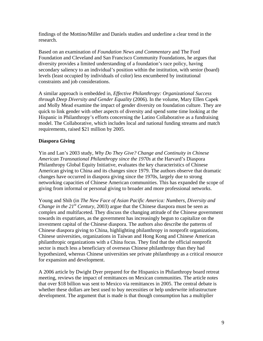findings of the Mottino/Miller and Daniels studies and underline a clear trend in the research.

Based on an examination of *Foundation News and Commentary* and The Ford Foundation and Cleveland and San Francisco Community Foundations, he argues that diversity provides a limited understanding of a foundation's race policy, having secondary saliency to an individual's position within the institution, with senior (board) levels (least occupied by individuals of color) less encumbered by institutional constraints and job considerations.

A similar approach is embedded in, *Effective Philanthropy: Organizational Success through Deep Diversity and Gender Equality* (2006). In the volume, Mary Ellen Capek and Molly Mead examine the impact of gender diversity on foundation culture. They are quick to link gender with other aspects of diversity and spend some time looking at the Hispanic in Philanthropy's efforts concerning the Latino Collaborative as a fundraising model. The Collaborative, which includes local and national funding streams and match requirements, raised \$21 million by 2005.

# **Diaspora Giving**

Yin and Lan's 2003 study, *Why Do They Give? Change and Continuity in Chinese American Transnational Philanthropy since the 1970s* at the Harvard's Diaspora Philanthropy Global Equity Initiative, evaluates the key characteristics of Chinese American giving to China and its changes since 1979. The authors observe that dramatic changes have occurred in diaspora giving since the 1970s, largely due to strong networking capacities of Chinese American communities. This has expanded the scope of giving from informal or personal giving to broader and more professional networks.

Young and Shih (in *The New Face of Asian Pacific America: Numbers, Diversity and Change in the 21<sup>st</sup> Century, 2003*) argue that the Chinese diaspora must be seen as complex and multifaceted. They discuss the changing attitude of the Chinese government towards its expatriates, as the government has increasingly begun to capitalize on the investment capital of the Chinese diaspora. The authors also describe the patterns of Chinese diaspora giving to China, highlighting philanthropy in nonprofit organizations, Chinese universities, organizations in Taiwan and Hong Kong and Chinese American philanthropic organizations with a China focus. They find that the official nonprofit sector is much less a beneficiary of overseas Chinese philanthropy than they had hypothesized, whereas Chinese universities see private philanthropy as a critical resource for expansion and development.

A 2006 article by Dwight Dyer prepared for the Hispanics in Philanthropy board retreat meeting, reviews the impact of remittances on Mexican communities. The article notes that over \$18 billion was sent to Mexico via remittances in 2005. The central debate is whether these dollars are best used to buy necessities or help underwrite infrastructure development. The argument that is made is that though consumption has a multiplier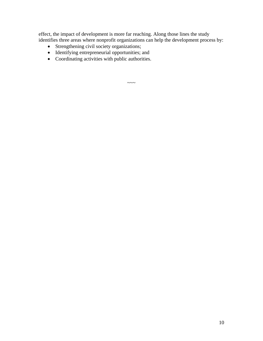effect, the impact of development is more far reaching. Along those lines the study identifies three areas where nonprofit organizations can help the development process by:

- Strengthening civil society organizations;
- Identifying entrepreneurial opportunities; and
- Coordinating activities with public authorities.

 $\sim\sim\sim$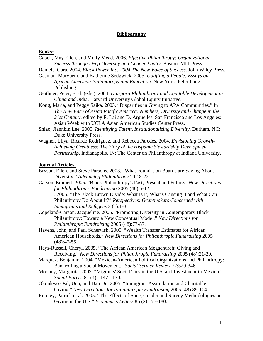#### **Bibliography**

#### **Books:**

- Capek, May Ellen, and Molly Mead. 2006. *Effective Philanthropy: Organizational Success through Deep Diversity and Gender Equity*. Boston: MIT Press.
- Daniels, Cora. 2004. *Black Power Inc: 2004 The New Voice of Success*. John Wiley Press.
- Gasman, Marybeth, and Katherine Sedgwick. 2005. *Uplifting a People: Essays on African American Philanthropy and Education*. New York: Peter Lang Publishing.
- Geithner, Peter, et al. (eds.). 2004. *Diaspora Philanthropy and Equitable Development in China and In*dia. Harvard University [Global Equity Initiative.](http://www.fas.harvard.edu/%7Eacgei/)
- Kong, Maria, and Peggy Saika. 2003. "Disparities in Giving to APA Communities." In *The New Face of Asian Pacific America: Numbers, Diversity and Change in the 21st Century*, edited by E. Lai and D. Arguelles. San Francisco and Los Angeles: Asian Week with UCLA Asian American Studies Center Press.
- Shiao, Jiannbin Lee. 2005. *Identifying Talent, Institutionalizing Diversity*. Durham, NC: Duke University Press.
- Wagner, Lilya, Ricardo Rodriguez, and Rebecca Paredes. 2004. *Envisioning Growth-Achieving Greatness: The Story of the Hispanic Stewardship Development Partnership*. Indianapolis, IN: The Center on Philanthropy at Indiana University.

#### **Journal Articles:**

- Bryson, Ellen, and Steve Parsons. 2003. "What Foundation Boards are Saying About Diversity." *Advancing Philanthropy* 10:18-22.
- Carson, Emmett. 2005. "Black Philanthropy's Past, Present and Future." *New Directions for Philanthropic Fundraising* 2005 (48):5-12.
- ———. 2006. "The Black Brown Divide: What Is It, What's Causing It and What Can Philanthropy Do About It?" *Perspectives: Grantmakers Concerned with Immigrants and Refugees* 2 (1):1-8.
- Copeland-Carson, Jacqueline. 2005. "Promoting Diversity in Contemporary Black Philanthropy: Toward a New Conceptual Model." *New Directions for Philanthropic Fundraising* 2005 (48):77-87.
- Havens, John, and Paul Schervish. 2005. "Wealth Transfer Estimates for African American Households." *New Directions for Philanthropic Fundraising* 2005 (48):47-55.
- Hays-Russell, Cheryl. 2005. "The African American Megachurch: Giving and Receiving." *New Directions for Philanthropic Fundraising* 2005 (48):21-29.
- Marquez, Benjamin. 2004. "Mexican-American Political Organizations and Philanthropy: Bankrolling a Social Movement." *Social Service Review* 77:329-346.
- Mooney, Margarita. 2003. "Migrants' Social Ties in the U.S. and Investment in Mexico." *Social Forces* 81 (4):1147-1170.
- Okonkwo Osil, Una, and Dan Du. 2005. "Immigrant Assimilation and Charitable Giving." *New Directions for Philanthropic Fundraising* 2005 (48):89-104.
- Rooney, Patrick et al. 2005. "The Effects of Race, Gender and Survey Methodologies on Giving in the U.S." *Economics Letters* 86 (2):173-180.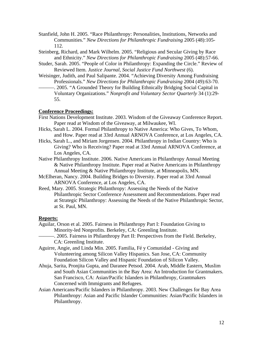- Stanfield, John H. 2005. "Race Philanthropy: Personalities, Institutions, Networks and Communities." *New Directions for Philanthropic Fundraising* 2005 (48):105- 112.
- Steinberg, Richard, and Mark Wilhelm. 2005. "Religious and Secular Giving by Race and Ethnicity." *New Directions for Philanthropic Fundraising* 2005 (48):57-66.
- Studer, Sarah. 2005. "People of Color in Philanthropy: Expanding the Circle." Review of Reviewed Item. *Justice Journal, Social Justice Fund Northwest* (6).
- Weisinger, Judith, and Paul Salipante. 2004. "Achieving Diversity Among Fundraising Professionals." *New Directions for Philanthropic Fundraising* 2004 (49):63-70.
	- -. 2005. "A Grounded Theory for Building Ethnically Bridging Social Capital in Voluntary Organizations." *Nonprofit and Voluntary Sector Quarterly* 34 (1):29- 55.

# **Conference Proceedings:**

- First Nations Development Institute. 2003. Wisdom of the Giveaway Conference Report. Paper read at Wisdom of the Giveaway, at Milwaukee, WI.
- Hicks, Sarah L. 2004. Formal Philanthropy to Native America: Who Gives, To Whom, and How. Paper read at 33rd Annual ARNOVA Conference, at Los Angeles, CA.
- Hicks, Sarah L., and Miriam Jorgensen. 2004. Philanthropy in Indian Country: Who is Giving? Who is Receiving? Paper read at 33rd Annual ARNOVA Conference, at Los Angeles, CA.
- Native Philanthropy Institute. 2006. Native Americans in Philanthropy Annual Meeting & Native Philanthropy Institute. Paper read at Native Americans in Philanthropy Annual Meeting & Native Philanthropy Institute, at Minneapolis, MN.
- McElheran, Nancy. 2004. Building Bridges to Diversity. Paper read at 33rd Annual ARNOVA Conference, at Los Angeles, CA.
- Reed, Mary. 2005. Strategic Philanthropy: Assessing the Needs of the Native Philanthropic Sector Conference Assessment and Recommendations. Paper read at Strategic Philanthropy: Assessing the Needs of the Native Philanthropic Sector, at St. Paul, MN.

#### **Reports:**

- Aguilar, Orson et al. 2005. Fairness in Philanthropy Part I: Foundation Giving to Minority-led Nonprofits. Berkeley, CA: Greenling Institute.
- -. 2005. Fairness in Philanthropy Part II: Perspectives from the Field. Berkeley, CA: Greenling Institute.
- Aguirre, Angie, and Linda Min. 2005. Familia, Fé y Comunidad Giving and Volunteering among Silicon Valley Hispanics. San Jose, CA: Community Foundation Silicon Valley and Hispanic Foundation of Silicon Valley.
- Ahuja, Sarita, Pronjita Gupta, and Daranee Petsod. 2004. Arab, Middle Eastern, Muslim and South Asian Communities in the Bay Area: An Introduction for Grantmakers. San Francisco, CA: Asian/Pacific Islanders in Philanthropy, Grantmakers Concerned with Immigrants and Refugees.
- Asian Americans/Pacific Islanders in Philanthropy. 2003. New Challenges for Bay Area Philanthropy: Asian and Pacific Islander Communities: Asian/Pacific Islanders in Philanthropy.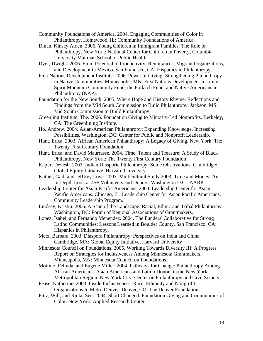Community Foundations of America. 2004. Engaging Communities of Color in Philanthropy. Homewood, IL: Community Foundations of America.

Dinan, Kinsey Alden. 2006. Young Children in Immigrant Families: The Role of Philanthropy. New York: National Center for Children in Poverty, Columbia University Mailman School of Public Health.

Dyer, Dwight. 2006. From Potential to Productivity: Remittances, Migrant Organizations, and Development in Mexico. San Francisco, CA: Hispanics in Philanthropy.

- First Nations Development Institute. 2006. Power of Giving: Strengthening Philanthropy in Native Communities. Minneapolis, MN: First Nations Development Institute, Spirit Mountain Community Fund, the Potlatch Fund, and Native Americans in Philanthropy (NAP).
- Foundation for the New South. 2005. Where Hope and History Rhyme: Reflections and Findings from the Mid South Commission to Build Philanthropy. Jackson, MS: Mid South Commission to Build Philanthropy.
- Greenling Institute, The. 2006. Foundation Giving to Minority-Led Nonprofits. Berkeley, CA: The Greenlining Institute.
- Ho, Andrew. 2004. Asian-American Philanthropy: Expanding Knowledge, Increasing Possibilities. Washington, DC: Center for Public and Nonprofit Leadership.
- Hunt, Erica. 2003. African American Philanthropy: A Legacy of Giving. New York: The Twenty First Century Foundation
- Hunt, Erica, and David Maurrasse. 2004. Time, Talent and Treasure: A Study of Black Philanthropy. New York: The Twenty First Century Foundation
- Kapur, Devesh. 2003. Indian Diasporic Philanthropy: Some Observations. Cambridge: Global Equity Initiative, Harvard University
- Kutner, Gail, and Jefffrey Love. 2003. Multicultural Study 2003: Time and Money: An In-Depth Look at 45+ Volunteers and Donors. Washington D.C.: AARP.
- Leadership Center for Asian Pacific Americans. 2004. Leadership Center for Asian Pacific Americans. Chicago, IL: Leadership Center for Asian Pacific Americans, Community Leadership Program.
- Lindsey, Kristin. 2006. A Scan of the Landscape: Racial, Ethnic and Tribal Philanthropy. Washington, DC: Forum of Regional Associations of Grantmakers.
- Lopez, Isabel, and Fernando Menendez. 2004. The Funders' Collaborative for Strong Latino Communities: Lessons Learned in Boulder County. San Francisco, CA: Hispanics in Philanthropy.
- Merz, Barbara. 2003. Diaspora Philanthropy: Perspectives on India and China. Cambridge, MA: Global Equity Initiative, Harvard University
- Minnesota Council on Foundations. 2005. Working Towards Diversity III: A Progress Report on Strategies for Inclusiveness Among Minnesota Grantmakers. Minneapolis, MN: Minnesota Council on Foundations.
- Mottino, Felinda, and Eugene Miller. 2004. Pathways for Change: Philanthropy Among African Americans, Asian Americans and Latino Donors in the New York Metropolitan Region. New York City: Center on Philanthropy and Civil Society.
- Pease, Katherine. 2003. Inside Inclusiveness: Race, Ethnicity and Nonprofit Organizations In Metro Denver. Denver, CO: The Denver Foundation.
- Pittz, Will, and Rinku Sen. 2004. Short Changed: Foundation Giving and Communities of Color. New York: Applied Research Center.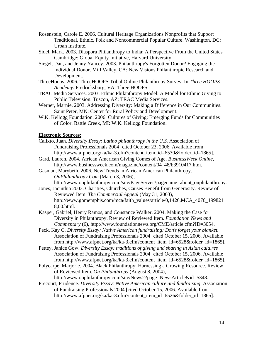- Rosenstein, Carole E. 2006. Cultural Heritage Organizations Nonprofits that Support Traditional, Ethnic, Folk and Noncommercial Popular Culture. Washington, DC: Urban Institute.
- Sidel, Mark. 2003. Diaspora Philanthropy to India: A Perspective From the United States Cambridge: Global Equity Initiative, Harvard University
- Siegel, Dan, and Jenny Yancey. 2003. Philanthropy's Forgotten Donor? Engaging the Individual Donor. Mill Valley, CA: New Visions Philanthropic Research and Development.
- ThreeHoops. 2006. ThreeHOOPS Tribal Online Philanthropy Survey. In *Three HOOPS Academy*. Fredricksburg, VA: Three HOOPS.
- TRAC Media Services. 2003. Ethnic Philanthropy Model: A Model for Ethnic Giving to Public Television. Tuscon, AZ: TRAC Media Services.
- Werner, Marnie. 2003. Addressing Diversity: Making a Difference in Our Communities. Saint Peter, MN: Center for Rural Policy and Development.
- W.K. Kellogg Foundation. 2006. Cultures of Giving: Emerging Funds for Communities of Color. Battle Creek, MI: W.K. Kellogg Foundation.

# **Electronic Sources:**

- Calixto, Juan. *Diversity Essay: Latino philanthropy in the U.S.* Association of Fundraising Professionals 2004 [cited October 23, 2006. Available from http://www.afpnet.org/ka/ka-3.cfm?content\_item\_id=6530&folder\_id=1865].
- Gard, Lauren. 2004. African American Giving Comes of Age. *BusinessWeek Online*, http://www.businessweek.com/magazine/content/04\_48/b3910417.htm.
- Gasman, Marybeth. 2006. New Trends in African American Philanthropy. *OnPhilanthropy.Com* (March 3, 2006),

http://www.onphilanthropy.com/site/PageServer?pagename=about\_onphilanthropy.

- Jones, Jacinthia 2003. Charities, Churches, Causes Benefit from Generosity. Review of Reviewed Item. *The Commercial Appeal* (May 31, 2003), http://www.gomemphis.com/mca/faith\_values/article/0,1426,MCA\_4076\_199821 8,00.html.
- Kasper, Gabriel, Henry Ramos, and Constance Walker. 2004. Making the Case for Diversity in Philanthropy. Review of Reviewed Item. *Foundation News and Commentary* (6), http://www.foundationnews.org/CME/article.cfm?ID=3054.
- Peck, Kay C. *Diversity Essay: Native American fundraising: Don't forget your blanket.*  Association of Fundraising Professionals 2004 [cited October 15, 2006. Available from http://www.afpnet.org/ka/ka-3.cfm?content\_item\_id=6528&folder\_id=1865].
- Pettey, Janice Gow. *Diversity Essay: traditions of giving and sharing in Asian cultures*  Association of Fundraising Professionals 2004 [cited October 15, 2006. Available from http://www.afpnet.org/ka/ka-3.cfm?content\_item\_id=6528&folder\_id=1865].
- Polycarpe, Marjorie. 2004. Black Philanthropy: Harnessing a Growing Resource. Review of Reviewed Item. *On Philanthropy* (August 8, 2004),
	- http://www.onphilanthropy.com/site/News2?page=NewsArticle&id=5348.
- Precourt, Prudence. *Diversity Essay: Native American culture and fundraising*. Association of Fundraising Professionals 2004 [cited October 15, 2006. Available from http://www.afpnet.org/ka/ka-3.cfm?content\_item\_id=6526&folder\_id=1865].